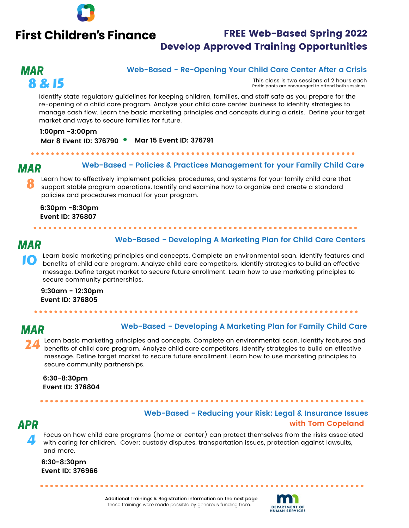

## **First Children's Finance**

## FREE Web-Based Spring 2022 Develop Approved Training Opportunities

## MAR 8 & 15

#### **Web-Based - Re-Opening Your Child Care Center After a Crisis**

This class is two sessions of 2 hours each Participants are encouraged to attend both sessions.

Identify state regulatory guidelines for keeping children, families, and staff safe as you prepare for the re-opening of a child care program. Analyze your child care center business to identify strategies to manage cash flow. Learn the basic marketing principles and concepts during a crisis. Define your target market and ways to secure families for future.

**1:00pm -3:00pm Mar 15 Event ID: 376791 Mar 8 Event ID: 376790**

#### MAR

#### **Web-Based - Policies & Practices Management for your Family Child Care**

Learn how to effectively implement policies, procedures, and systems for your family child care that support stable program operations. Identify and examine how to organize and create a standard policies and procedures manual for your program. 8

**6:30pm -8:30pm Event ID: 376807**

. . . . . . . . . . . . . . . .

## MAR

#### **Web-Based - Developing A Marketing Plan for Child Care Centers**

Learn basic marketing principles and concepts. Complete an environmental scan. Identify features and benefits of child care program. Analyze child care competitors. Identify strategies to build an effective message. Define target market to secure future enrollment. Learn how to use marketing principles to secure community partnerships. 10

**9:30am - 12:30pm Event ID: 376805**

## MAR

#### **Web-Based - Developing A Marketing Plan for Family Child Care**

VED Based Developing A Marketing Plan for Pariny Crina Care<br>Learn basic marketing principles and concepts. Complete an environmental scan. Identify features and benefits of child care program. Analyze child care competitors. Identify strategies to build an effective message. Define target market to secure future enrollment. Learn how to use marketing principles to secure community partnerships. 24

**6:30-8:30pm Event ID: 376804**

. . . . . . . . . . . . . . .

## Bake Sale Fundraiser **Web-Based - Reducing your Risk: Legal & Insurance Issues** APR **with Tom Copeland**

4

Focus on how child care programs (home or center) can protect themselves from the risks associated with caring for children. Cover: custody disputes, transportation issues, protection against lawsuits, and more.

**6:30-8:30pm Event ID: 376966**

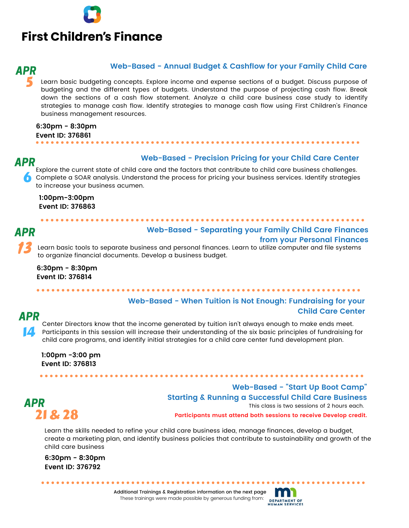# **First Children's Finance**

## 5 APR

#### **Web-Based - Annual Budget & Cashflow for your Family Child Care**

Learn basic budgeting concepts. Explore income and expense sections of a budget. Discuss purpose of budgeting and the different types of budgets. Understand the purpose of projecting cash flow. Break down the sections of a cash flow statement. Analyze a child care business case study to identify strategies to manage cash flow. Identify strategies to manage cash flow using First Children's Finance business management resources.

**6:30pm - 8:30pm Event ID: 376861**

### APR

#### **Web-Based - Precision Pricing for your Child Care Center**

Explore the current state of child care and the factors that contribute to child care business challenges. Complete a SOAR analysis. Understand the process for pricing your business services. Identify strategies<br>to increase your business acumen to increase your business acumen.

**1:00pm-3:00pm Event ID: 376863**

## 13 APR

## **Web-Based - Separating your Family Child Care Finances from your Personal Finances**

Learn basic tools to separate business and personal finances. Learn to utilize computer and file systems to organize financial documents. Develop a business budget.

**6:30pm - 8:30pm Event ID: 376814**

. . . . . . . . . . . . . . . . . . .

## APR

#### **Web-Based - When Tuition is Not Enough: Fundraising for your Child Care Center**

Participants in this session will increase their understanding of the six basic principles of fundraising for<br>child care programs, and identify initial strategies for a child care center fund development plan. Participants in this session will increase their anderstanding of the six basic principles of fundidities<br>child care programs, and identify initial strategies for a child care center fund development plan. 14 Center Directors know that the income generated by tuition isn't always enough to make ends meet.

**1:00pm -3:00 pm Event ID: 376813**

# APR

This class is two sessions of 2 hours each.<br>**21 & 28** Participants must attend both sessions to receive Develop credit. **Web-Based - "Start Up Boot Camp" Starting & Running a Successful Child Care Business** This class is two sessions of 2 hours each.

Learn the skills needed to refine your child care business idea, manage finances, develop a budget, create a marketing plan, and identify business policies that contribute to sustainability and growth of the child care business

For a property information of the property information of the set of the set of the set of the set of the set o

**6:30pm - 8:30pm Event ID: 376792**

> Additional Trainings & Registration information on the next page These trainings were made possible by generous funding from: